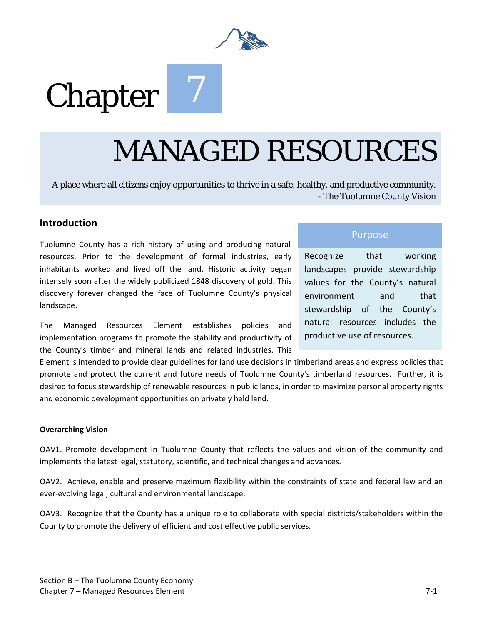

# **Chapter**

## MANAGED RESOURCES

A place where all citizens enjoy opportunities to thrive in a safe, healthy, and productive community. - The Tuolumne County Vision

#### **Introduction**

Tuolumne County has a rich history of using and producing natural resources. Prior to the development of formal industries, early inhabitants worked and lived off the land. Historic activity began intensely soon after the widely publicized 1848 discovery of gold. This discovery forever changed the face of Tuolumne County's physical landscape.

The Managed Resources Element establishes policies and implementation programs to promote the stability and productivity of the County's timber and mineral lands and related industries. This

#### Purpose

Recognize that working landscapes provide stewardship values for the County's natural environment and that stewardship of the County's natural resources includes the productive use of resources.

Element is intended to provide clear guidelines for land use decisions in timberland areas and express policies that promote and protect the current and future needs of Tuolumne County's timberland resources. Further, it is desired to focus stewardship of renewable resources in public lands, in order to maximize personal property rights and economic development opportunities on privately held land.

#### **Overarching Vision**

OAV1. Promote development in Tuolumne County that reflects the values and vision of the community and implements the latest legal, statutory, scientific, and technical changes and advances.

OAV2. Achieve, enable and preserve maximum flexibility within the constraints of state and federal law and an ever-evolving legal, cultural and environmental landscape.

OAV3. Recognize that the County has a unique role to collaborate with special districts/stakeholders within the County to promote the delivery of efficient and cost effective public services.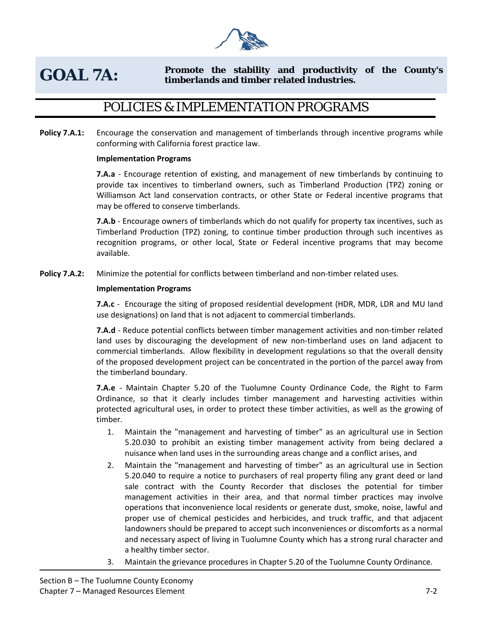

#### **GOAL 7A: Promote the stability and productivity of the County's timberlands and timber related industries.**

## POLICIES & IMPLEMENTATION PROGRAMS

**Policy 7.A.1:** Encourage the conservation and management of timberlands through incentive programs while conforming with California forest practice law.

#### **Implementation Programs**

**7.A.a** - Encourage retention of existing, and management of new timberlands by continuing to provide tax incentives to timberland owners, such as Timberland Production (TPZ) zoning or Williamson Act land conservation contracts, or other State or Federal incentive programs that may be offered to conserve timberlands.

**7.A.b** - Encourage owners of timberlands which do not qualify for property tax incentives, such as Timberland Production (TPZ) zoning, to continue timber production through such incentives as recognition programs, or other local, State or Federal incentive programs that may become available.

Policy 7.A.2: Minimize the potential for conflicts between timberland and non-timber related uses.

#### **Implementation Programs**

**7.A.c** - Encourage the siting of proposed residential development (HDR, MDR, LDR and MU land use designations) on land that is not adjacent to commercial timberlands.

**7.A.d** - Reduce potential conflicts between timber management activities and non-timber related land uses by discouraging the development of new non-timberland uses on land adjacent to commercial timberlands. Allow flexibility in development regulations so that the overall density of the proposed development project can be concentrated in the portion of the parcel away from the timberland boundary.

**7.A.e** - Maintain Chapter 5.20 of the Tuolumne County Ordinance Code, the Right to Farm Ordinance, so that it clearly includes timber management and harvesting activities within protected agricultural uses, in order to protect these timber activities, as well as the growing of timber.

- 1. Maintain the "management and harvesting of timber" as an agricultural use in Section 5.20.030 to prohibit an existing timber management activity from being declared a nuisance when land uses in the surrounding areas change and a conflict arises, and
- 2. Maintain the "management and harvesting of timber" as an agricultural use in Section 5.20.040 to require a notice to purchasers of real property filing any grant deed or land sale contract with the County Recorder that discloses the potential for timber management activities in their area, and that normal timber practices may involve operations that inconvenience local residents or generate dust, smoke, noise, lawful and proper use of chemical pesticides and herbicides, and truck traffic, and that adjacent landowners should be prepared to accept such inconveniences or discomforts as a normal and necessary aspect of living in Tuolumne County which has a strong rural character and a healthy timber sector.
- 3. Maintain the grievance procedures in Chapter 5.20 of the Tuolumne County Ordinance.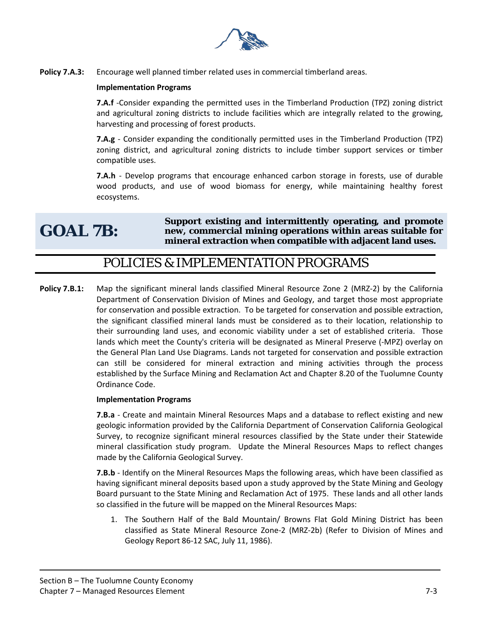

Policy 7.A.3: Encourage well planned timber related uses in commercial timberland areas.

#### **Implementation Programs**

**7.A.f** -Consider expanding the permitted uses in the Timberland Production (TPZ) zoning district and agricultural zoning districts to include facilities which are integrally related to the growing, harvesting and processing of forest products.

**7.A.g** - Consider expanding the conditionally permitted uses in the Timberland Production (TPZ) zoning district, and agricultural zoning districts to include timber support services or timber compatible uses.

**7.A.h** - Develop programs that encourage enhanced carbon storage in forests, use of durable wood products, and use of wood biomass for energy, while maintaining healthy forest ecosystems.

## **GOAL 7B:**

**Support existing and intermittently operating, and promote new, commercial mining operations within areas suitable for mineral extraction when compatible with adjacent land uses.** 

#### POLICIES & IMPLEMENTATION PROGRAMS

**Policy 7.B.1:** Map the significant mineral lands classified Mineral Resource Zone 2 (MRZ-2) by the California Department of Conservation Division of Mines and Geology, and target those most appropriate for conservation and possible extraction. To be targeted for conservation and possible extraction, the significant classified mineral lands must be considered as to their location, relationship to their surrounding land uses, and economic viability under a set of established criteria. Those lands which meet the County's criteria will be designated as Mineral Preserve (-MPZ) overlay on the General Plan Land Use Diagrams. Lands not targeted for conservation and possible extraction can still be considered for mineral extraction and mining activities through the process established by the Surface Mining and Reclamation Act and Chapter 8.20 of the Tuolumne County Ordinance Code.

#### **Implementation Programs**

**7.B.a** - Create and maintain Mineral Resources Maps and a database to reflect existing and new geologic information provided by the California Department of Conservation California Geological Survey, to recognize significant mineral resources classified by the State under their Statewide mineral classification study program. Update the Mineral Resources Maps to reflect changes made by the California Geological Survey.

**7.B.b** - Identify on the Mineral Resources Maps the following areas, which have been classified as having significant mineral deposits based upon a study approved by the State Mining and Geology Board pursuant to the State Mining and Reclamation Act of 1975. These lands and all other lands so classified in the future will be mapped on the Mineral Resources Maps:

1. The Southern Half of the Bald Mountain/ Browns Flat Gold Mining District has been classified as State Mineral Resource Zone-2 (MRZ-2b) (Refer to Division of Mines and Geology Report 86-12 SAC, July 11, 1986).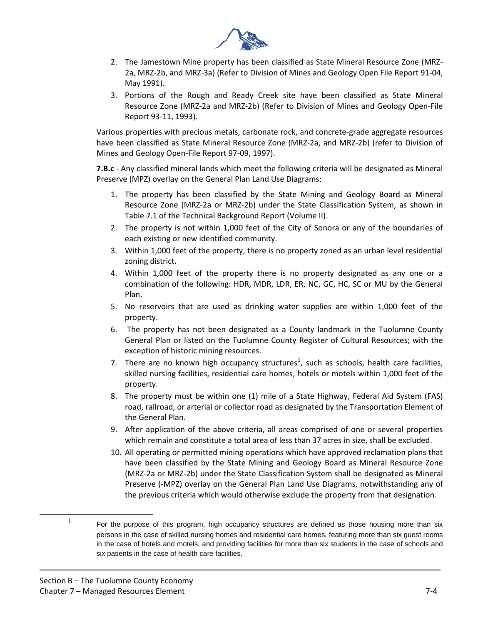

- 2. The Jamestown Mine property has been classified as State Mineral Resource Zone (MRZ-2a, MRZ-2b, and MRZ-3a) (Refer to Division of Mines and Geology Open File Report 91-04, May 1991).
- 3. Portions of the Rough and Ready Creek site have been classified as State Mineral Resource Zone (MRZ-2a and MRZ-2b) (Refer to Division of Mines and Geology Open-File Report 93-11, 1993).

Various properties with precious metals, carbonate rock, and concrete-grade aggregate resources have been classified as State Mineral Resource Zone (MRZ-2a, and MRZ-2b) (refer to Division of Mines and Geology Open-File Report 97-09, 1997).

**7.B.c** - Any classified mineral lands which meet the following criteria will be designated as Mineral Preserve (MPZ) overlay on the General Plan Land Use Diagrams:

- 1. The property has been classified by the State Mining and Geology Board as Mineral Resource Zone (MRZ-2a or MRZ-2b) under the State Classification System, as shown in Table 7.1 of the Technical Background Report (Volume II).
- 2. The property is not within 1,000 feet of the City of Sonora or any of the boundaries of each existing or new identified community.
- 3. Within 1,000 feet of the property, there is no property zoned as an urban level residential zoning district.
- 4. Within 1,000 feet of the property there is no property designated as any one or a combination of the following: HDR, MDR, LDR, ER, NC, GC, HC, SC or MU by the General Plan.
- 5. No reservoirs that are used as drinking water supplies are within 1,000 feet of the property.
- 6. The property has not been designated as a County landmark in the Tuolumne County General Plan or listed on the Tuolumne County Register of Cultural Resources; with the exception of historic mining resources.
- 7. There are no known high occupancy structures<sup>[1](#page-3-0)</sup>, such as schools, health care facilities, skilled nursing facilities, residential care homes, hotels or motels within 1,000 feet of the property.
- 8. The property must be within one (1) mile of a State Highway, Federal Aid System (FAS) road, railroad, or arterial or collector road as designated by the Transportation Element of the General Plan.
- 9. After application of the above criteria, all areas comprised of one or several properties which remain and constitute a total area of less than 37 acres in size, shall be excluded.
- 10. All operating or permitted mining operations which have approved reclamation plans that have been classified by the State Mining and Geology Board as Mineral Resource Zone (MRZ-2a or MRZ-2b) under the State Classification System shall be designated as Mineral Preserve (-MPZ) overlay on the General Plan Land Use Diagrams, notwithstanding any of the previous criteria which would otherwise exclude the property from that designation.

<span id="page-3-0"></span> $\overline{a}$ 

 $1$  For the purpose of this program, high occupancy structures are defined as those housing more than six persons in the case of skilled nursing homes and residential care homes, featuring more than six guest rooms in the case of hotels and motels, and providing facilities for more than six students in the case of schools and six patients in the case of health care facilities.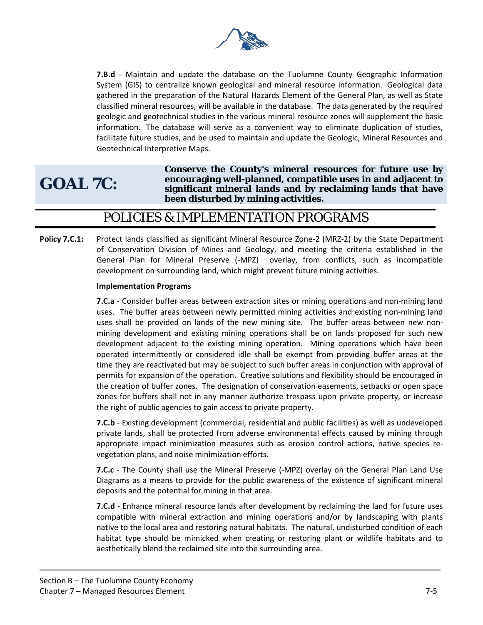

**7.B.d** - Maintain and update the database on the Tuolumne County Geographic Information System (GIS) to centralize known geological and mineral resource information. Geological data gathered in the preparation of the Natural Hazards Element of the General Plan, as well as State classified mineral resources, will be available in the database. The data generated by the required geologic and geotechnical studies in the various mineral resource zones will supplement the basic information. The database will serve as a convenient way to eliminate duplication of studies, facilitate future studies, and be used to maintain and update the Geologic, Mineral Resources and Geotechnical Interpretive Maps.

## **GOAL 7C:**

**Conserve the County's mineral resources for future use by encouraging well-planned, compatible uses in and adjacent to significant mineral lands and by reclaiming lands that have been disturbed by mining activities.** 

### POLICIES & IMPLEMENTATION PROGRAMS

**Policy 7.C.1:** Protect lands classified as significant Mineral Resource Zone-2 (MRZ-2) by the State Department of Conservation Division of Mines and Geology, and meeting the criteria established in the General Plan for Mineral Preserve (-MPZ) overlay, from conflicts, such as incompatible development on surrounding land, which might prevent future mining activities.

#### **Implementation Programs**

**7.C.a** - Consider buffer areas between extraction sites or mining operations and non-mining land uses. The buffer areas between newly permitted mining activities and existing non-mining land uses shall be provided on lands of the new mining site. The buffer areas between new nonmining development and existing mining operations shall be on lands proposed for such new development adjacent to the existing mining operation. Mining operations which have been operated intermittently or considered idle shall be exempt from providing buffer areas at the time they are reactivated but may be subject to such buffer areas in conjunction with approval of permits for expansion of the operation. Creative solutions and flexibility should be encouraged in the creation of buffer zones. The designation of conservation easements, setbacks or open space zones for buffers shall not in any manner authorize trespass upon private property, or increase the right of public agencies to gain access to private property.

**7.C.b** - Existing development (commercial, residential and public facilities) as well as undeveloped private lands, shall be protected from adverse environmental effects caused by mining through appropriate impact minimization measures such as erosion control actions, native species revegetation plans, and noise minimization efforts.

**7.C.c** - The County shall use the Mineral Preserve (-MPZ) overlay on the General Plan Land Use Diagrams as a means to provide for the public awareness of the existence of significant mineral deposits and the potential for mining in that area.

**7.C.d** - Enhance mineral resource lands after development by reclaiming the land for future uses compatible with mineral extraction and mining operations and/or by landscaping with plants native to the local area and restoring natural habitats. The natural, undisturbed condition of each habitat type should be mimicked when creating or restoring plant or wildlife habitats and to aesthetically blend the reclaimed site into the surrounding area.